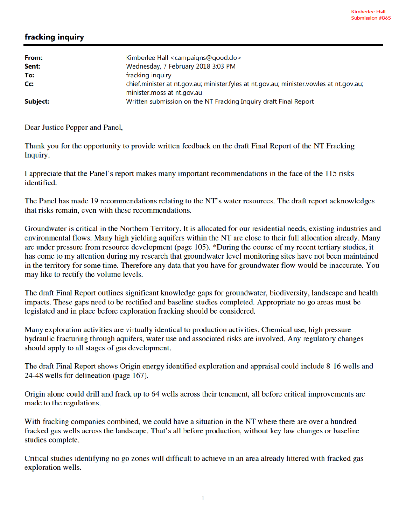## fracking inquiry

| From:    | Kimberlee Hall <campaigns@good.do></campaigns@good.do>                                         |
|----------|------------------------------------------------------------------------------------------------|
| Sent:    | Wednesday, 7 February 2018 3:03 PM                                                             |
| To:      | fracking inquiry                                                                               |
| Cc:      | chief.minister at nt.gov.au; minister.fyles at nt.gov.au; minister.vowles at nt.gov.au;        |
| Subject: | minister.moss at nt.gov.au<br>Written submission on the NT Fracking Inquiry draft Final Report |

Dear Justice Pepper and Panel,

Thank you for the opportunity to provide written feedback on the draft Final Report of the NT Fracking Inquiry.

I appreciate that the Panel's report makes many important recommendations in the face of the 115 risks identified.

The Panel has made 19 recommendations relating to the NT's water resources. The draft report acknowledges that risks remain, even with these recommendations.

Groundwater is critical in the Northern Territory. It is allocated for our residential needs, existing industries and environmental flows. Many high yielding aquifers within the NT are close to their full allocation already. Many are under pressure from resource development (page 105). \*During the course of my recent tertiary studies, it has come to my attention during my research that groundwater level monitoring sites have not been maintained in the territory for some time. Therefore any data that you have for groundwater flow would be inaccurate. You may like to rectify the volume levels.

The draft Final Report outlines significant knowledge gaps for groundwater, biodiversity, landscape and health impacts. These gaps need to be rectified and baseline studies completed. Appropriate no go areas must be legislated and in place before exploration fracking should be considered.

Many exploration activities are virtually identical to production activities. Chemical use, high pressure hydraulic fracturing through aquifers, water use and associated risks are involved. Any regulatory changes should apply to all stages of gas development.

The draft Final Report shows Origin energy identified exploration and appraisal could include 8-16 wells and 24-48 wells for delineation (page 167).

Origin alone could drill and frack up to 64 wells across their tenement, all before critical improvements are made to the regulations.

With fracking companies combined, we could have a situation in the NT where there are over a hundred fracked gas wells across the landscape. That's all before production, without key law changes or baseline studies complete.

Critical studies identifying no go zones will difficult to achieve in an area already littered with fracked gas exploration wells.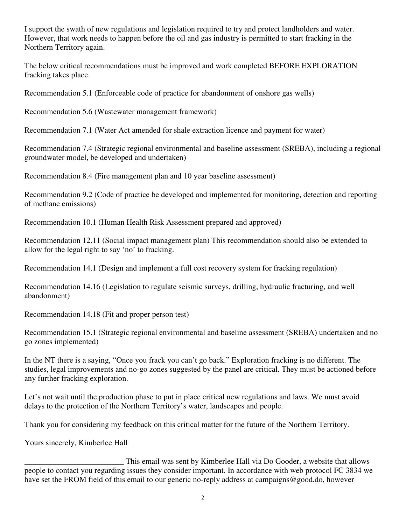I support the swath of new regulations and legislation required to try and protect landholders and water. However, that work needs to happen before the oil and gas industry is permitted to start fracking in the Northern Territory again.

The below critical recommendations must be improved and work completed BEFORE EXPLORATION fracking takes place.

Recommendation 5.1 (Enforceable code of practice for abandonment of onshore gas wells)

Recommendation 5.6 (Wastewater management framework)

Recommendation 7.1 (Water Act amended for shale extraction licence and payment for water)

Recommendation 7.4 (Strategic regional environmental and baseline assessment (SREBA), including a regional groundwater model, be developed and undertaken)

Recommendation 8.4 (Fire management plan and 10 year baseline assessment)

Recommendation 9.2 (Code of practice be developed and implemented for monitoring, detection and reporting of methane emissions)

Recommendation 10.1 (Human Health Risk Assessment prepared and approved)

Recommendation 12.11 (Social impact management plan) This recommendation should also be extended to allow for the legal right to say 'no' to fracking.

Recommendation 14.1 (Design and implement a full cost recovery system for fracking regulation)

Recommendation 14.16 (Legislation to regulate seismic surveys, drilling, hydraulic fracturing, and well abandonment)

Recommendation 14.18 (Fit and proper person test)

Recommendation 15.1 (Strategic regional environmental and baseline assessment (SREBA) undertaken and no go zones implemented)

In the NT there is a saying, "Once you frack you can't go back." Exploration fracking is no different. The studies, legal improvements and no-go zones suggested by the panel are critical. They must be actioned before any further fracking exploration.

Let's not wait until the production phase to put in place critical new regulations and laws. We must avoid delays to the protection of the Northern Territory's water, landscapes and people.

Thank you for considering my feedback on this critical matter for the future of the Northern Territory.

Yours sincerely, Kimberlee Hall

This email was sent by Kimberlee Hall via Do Gooder, a website that allows<br>people to contact you regarding issues they consider important. In accordance with web protocol FC 3834 we have set the FROM field of this email to our generic no-reply address at campaigns@good.do, however